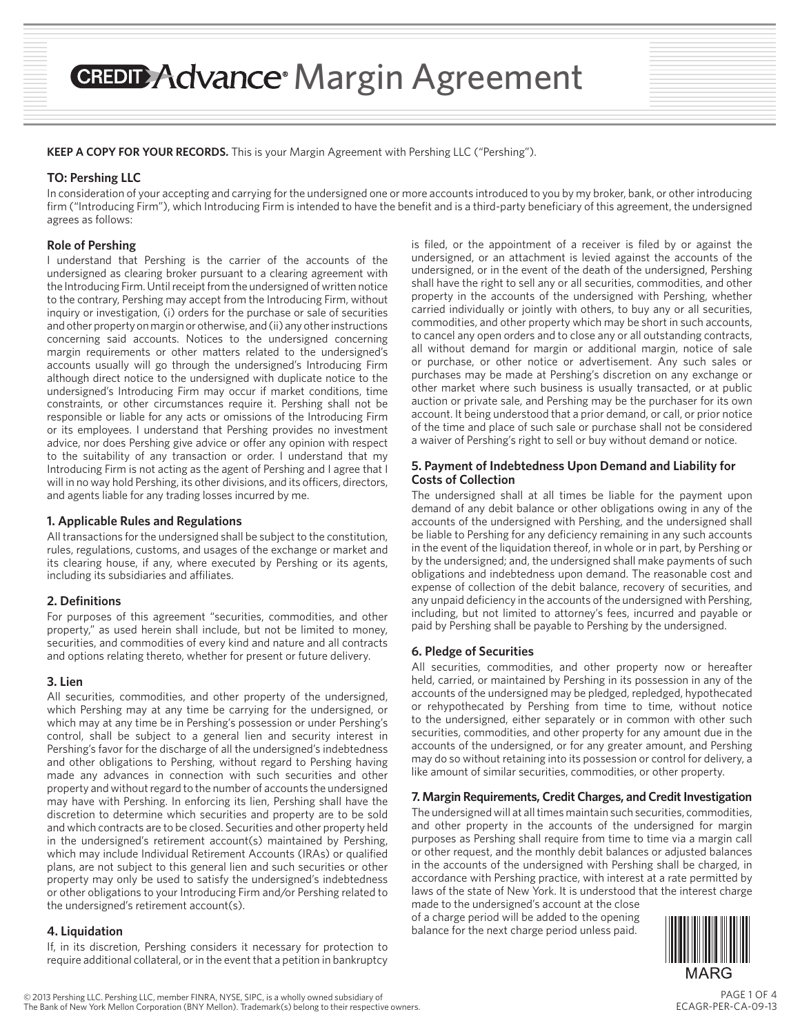## **CREDIT Advance Margin Agreement**

**KEEP A COPY FOR YOUR RECORDS.** This is your Margin Agreement with Pershing LLC ("Pershing").

## **TO: Pershing LLC**

In consideration of your accepting and carrying for the undersigned one or more accounts introduced to you by my broker, bank, or other introducing firm ("Introducing Firm"), which Introducing Firm is intended to have the benefit and is a third-party beneficiary of this agreement, the undersigned agrees as follows:

## **Role of Pershing**

I understand that Pershing is the carrier of the accounts of the undersigned as clearing broker pursuant to a clearing agreement with the Introducing Firm. Until receipt from the undersigned of written notice to the contrary, Pershing may accept from the Introducing Firm, without inquiry or investigation, (i) orders for the purchase or sale of securities and other property on margin or otherwise, and (ii) any other instructions concerning said accounts. Notices to the undersigned concerning margin requirements or other matters related to the undersigned's accounts usually will go through the undersigned's Introducing Firm although direct notice to the undersigned with duplicate notice to the undersigned's Introducing Firm may occur if market conditions, time constraints, or other circumstances require it. Pershing shall not be responsible or liable for any acts or omissions of the Introducing Firm or its employees. I understand that Pershing provides no investment advice, nor does Pershing give advice or offer any opinion with respect to the suitability of any transaction or order. I understand that my Introducing Firm is not acting as the agent of Pershing and I agree that I will in no way hold Pershing, its other divisions, and its officers, directors, and agents liable for any trading losses incurred by me.

## **1. Applicable Rules and Regulations**

All transactions for the undersigned shall be subject to the constitution, rules, regulations, customs, and usages of the exchange or market and its clearing house, if any, where executed by Pershing or its agents, including its subsidiaries and affiliates.

#### **2. Definitions**

For purposes of this agreement "securities, commodities, and other property," as used herein shall include, but not be limited to money, securities, and commodities of every kind and nature and all contracts and options relating thereto, whether for present or future delivery.

## **3. Lien**

All securities, commodities, and other property of the undersigned, which Pershing may at any time be carrying for the undersigned, or which may at any time be in Pershing's possession or under Pershing's control, shall be subject to a general lien and security interest in Pershing's favor for the discharge of all the undersigned's indebtedness and other obligations to Pershing, without regard to Pershing having made any advances in connection with such securities and other property and without regard to the number of accounts the undersigned may have with Pershing. In enforcing its lien, Pershing shall have the discretion to determine which securities and property are to be sold and which contracts are to be closed. Securities and other property held in the undersigned's retirement account(s) maintained by Pershing, which may include Individual Retirement Accounts (IRAs) or qualified plans, are not subject to this general lien and such securities or other property may only be used to satisfy the undersigned's indebtedness or other obligations to your Introducing Firm and/or Pershing related to the undersigned's retirement account(s).

#### **4. Liquidation**

If, in its discretion, Pershing considers it necessary for protection to require additional collateral, or in the event that a petition in bankruptcy

is filed, or the appointment of a receiver is filed by or against the undersigned, or an attachment is levied against the accounts of the undersigned, or in the event of the death of the undersigned, Pershing shall have the right to sell any or all securities, commodities, and other property in the accounts of the undersigned with Pershing, whether carried individually or jointly with others, to buy any or all securities, commodities, and other property which may be short in such accounts, to cancel any open orders and to close any or all outstanding contracts, all without demand for margin or additional margin, notice of sale or purchase, or other notice or advertisement. Any such sales or purchases may be made at Pershing's discretion on any exchange or other market where such business is usually transacted, or at public auction or private sale, and Pershing may be the purchaser for its own account. It being understood that a prior demand, or call, or prior notice of the time and place of such sale or purchase shall not be considered a waiver of Pershing's right to sell or buy without demand or notice.

## **5. Payment of Indebtedness Upon Demand and Liability for Costs of Collection**

The undersigned shall at all times be liable for the payment upon demand of any debit balance or other obligations owing in any of the accounts of the undersigned with Pershing, and the undersigned shall be liable to Pershing for any deficiency remaining in any such accounts in the event of the liquidation thereof, in whole or in part, by Pershing or by the undersigned; and, the undersigned shall make payments of such obligations and indebtedness upon demand. The reasonable cost and expense of collection of the debit balance, recovery of securities, and any unpaid deficiency in the accounts of the undersigned with Pershing, including, but not limited to attorney's fees, incurred and payable or paid by Pershing shall be payable to Pershing by the undersigned.

#### **6. Pledge of Securities**

All securities, commodities, and other property now or hereafter held, carried, or maintained by Pershing in its possession in any of the accounts of the undersigned may be pledged, repledged, hypothecated or rehypothecated by Pershing from time to time, without notice to the undersigned, either separately or in common with other such securities, commodities, and other property for any amount due in the accounts of the undersigned, or for any greater amount, and Pershing may do so without retaining into its possession or control for delivery, a like amount of similar securities, commodities, or other property.

#### **7. Margin Requirements, Credit Charges, and Credit Investigation**

The undersigned will at all times maintain such securities, commodities, and other property in the accounts of the undersigned for margin purposes as Pershing shall require from time to time via a margin call or other request, and the monthly debit balances or adjusted balances in the accounts of the undersigned with Pershing shall be charged, in accordance with Pershing practice, with interest at a rate permitted by laws of the state of New York. It is understood that the interest charge

made to the undersigned's account at the close of a charge period will be added to the opening balance for the next charge period unless paid.

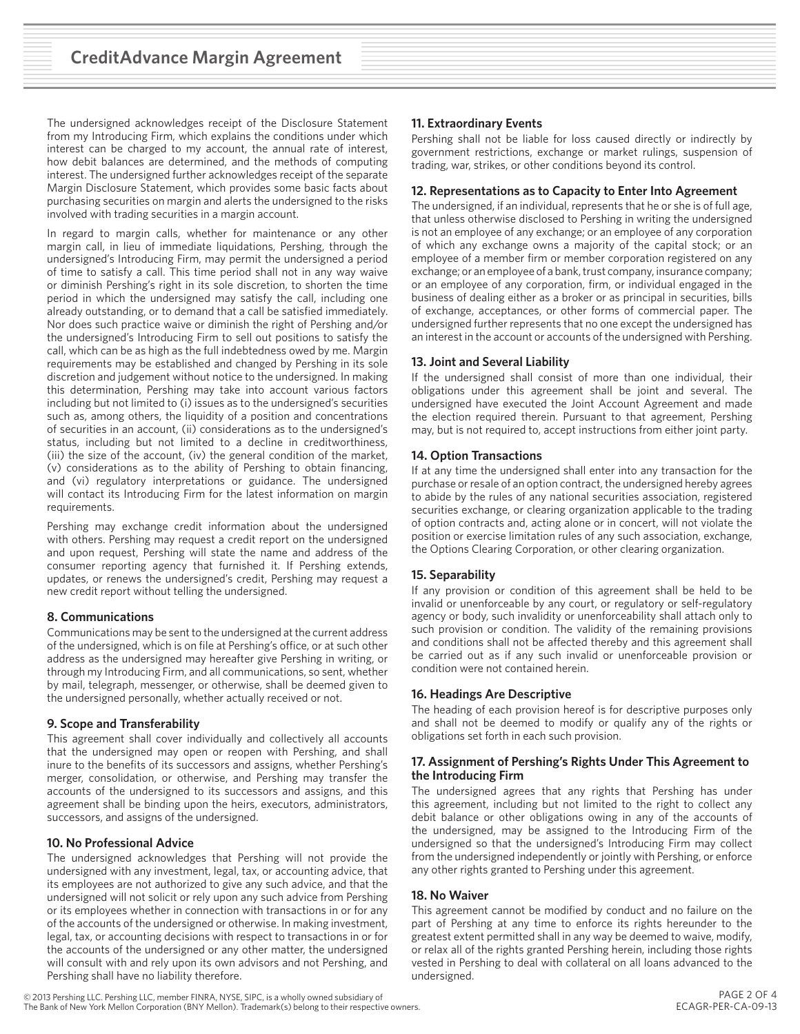The undersigned acknowledges receipt of the Disclosure Statement from my Introducing Firm, which explains the conditions under which interest can be charged to my account, the annual rate of interest, how debit balances are determined, and the methods of computing interest. The undersigned further acknowledges receipt of the separate Margin Disclosure Statement, which provides some basic facts about purchasing securities on margin and alerts the undersigned to the risks involved with trading securities in a margin account.

In regard to margin calls, whether for maintenance or any other margin call, in lieu of immediate liquidations, Pershing, through the undersigned's Introducing Firm, may permit the undersigned a period of time to satisfy a call. This time period shall not in any way waive or diminish Pershing's right in its sole discretion, to shorten the time period in which the undersigned may satisfy the call, including one already outstanding, or to demand that a call be satisfied immediately. Nor does such practice waive or diminish the right of Pershing and/or the undersigned's Introducing Firm to sell out positions to satisfy the call, which can be as high as the full indebtedness owed by me. Margin requirements may be established and changed by Pershing in its sole discretion and judgement without notice to the undersigned. In making this determination, Pershing may take into account various factors including but not limited to (i) issues as to the undersigned's securities such as, among others, the liquidity of a position and concentrations of securities in an account, (ii) considerations as to the undersigned's status, including but not limited to a decline in creditworthiness, (iii) the size of the account, (iv) the general condition of the market, (v) considerations as to the ability of Pershing to obtain financing, and (vi) regulatory interpretations or guidance. The undersigned will contact its Introducing Firm for the latest information on margin requirements.

Pershing may exchange credit information about the undersigned with others. Pershing may request a credit report on the undersigned and upon request, Pershing will state the name and address of the consumer reporting agency that furnished it. If Pershing extends, updates, or renews the undersigned's credit, Pershing may request a new credit report without telling the undersigned.

## **8. Communications**

Communications may be sent to the undersigned at the current address of the undersigned, which is on file at Pershing's office, or at such other address as the undersigned may hereafter give Pershing in writing, or through my Introducing Firm, and all communications, so sent, whether by mail, telegraph, messenger, or otherwise, shall be deemed given to the undersigned personally, whether actually received or not.

#### **9. Scope and Transferability**

This agreement shall cover individually and collectively all accounts that the undersigned may open or reopen with Pershing, and shall inure to the benefits of its successors and assigns, whether Pershing's merger, consolidation, or otherwise, and Pershing may transfer the accounts of the undersigned to its successors and assigns, and this agreement shall be binding upon the heirs, executors, administrators, successors, and assigns of the undersigned.

## **10. No Professional Advice**

The undersigned acknowledges that Pershing will not provide the undersigned with any investment, legal, tax, or accounting advice, that its employees are not authorized to give any such advice, and that the undersigned will not solicit or rely upon any such advice from Pershing or its employees whether in connection with transactions in or for any of the accounts of the undersigned or otherwise. In making investment, legal, tax, or accounting decisions with respect to transactions in or for the accounts of the undersigned or any other matter, the undersigned will consult with and rely upon its own advisors and not Pershing, and Pershing shall have no liability therefore.

## **11. Extraordinary Events**

Pershing shall not be liable for loss caused directly or indirectly by government restrictions, exchange or market rulings, suspension of trading, war, strikes, or other conditions beyond its control.

## **12. Representations as to Capacity to Enter Into Agreement**

The undersigned, if an individual, represents that he or she is of full age, that unless otherwise disclosed to Pershing in writing the undersigned is not an employee of any exchange; or an employee of any corporation of which any exchange owns a majority of the capital stock; or an employee of a member firm or member corporation registered on any exchange; or an employee of a bank, trust company, insurance company; or an employee of any corporation, firm, or individual engaged in the business of dealing either as a broker or as principal in securities, bills of exchange, acceptances, or other forms of commercial paper. The undersigned further represents that no one except the undersigned has an interest in the account or accounts of the undersigned with Pershing.

## **13. Joint and Several Liability**

If the undersigned shall consist of more than one individual, their obligations under this agreement shall be joint and several. The undersigned have executed the Joint Account Agreement and made the election required therein. Pursuant to that agreement, Pershing may, but is not required to, accept instructions from either joint party.

## **14. Option Transactions**

If at any time the undersigned shall enter into any transaction for the purchase or resale of an option contract, the undersigned hereby agrees to abide by the rules of any national securities association, registered securities exchange, or clearing organization applicable to the trading of option contracts and, acting alone or in concert, will not violate the position or exercise limitation rules of any such association, exchange, the Options Clearing Corporation, or other clearing organization.

#### **15. Separability**

If any provision or condition of this agreement shall be held to be invalid or unenforceable by any court, or regulatory or self-regulatory agency or body, such invalidity or unenforceability shall attach only to such provision or condition. The validity of the remaining provisions and conditions shall not be affected thereby and this agreement shall be carried out as if any such invalid or unenforceable provision or condition were not contained herein.

#### **16. Headings Are Descriptive**

The heading of each provision hereof is for descriptive purposes only and shall not be deemed to modify or qualify any of the rights or obligations set forth in each such provision.

#### **17. Assignment of Pershing's Rights Under This Agreement to the Introducing Firm**

The undersigned agrees that any rights that Pershing has under this agreement, including but not limited to the right to collect any debit balance or other obligations owing in any of the accounts of the undersigned, may be assigned to the Introducing Firm of the undersigned so that the undersigned's Introducing Firm may collect from the undersigned independently or jointly with Pershing, or enforce any other rights granted to Pershing under this agreement.

#### **18. No Waiver**

This agreement cannot be modified by conduct and no failure on the part of Pershing at any time to enforce its rights hereunder to the greatest extent permitted shall in any way be deemed to waive, modify, or relax all of the rights granted Pershing herein, including those rights vested in Pershing to deal with collateral on all loans advanced to the undersigned.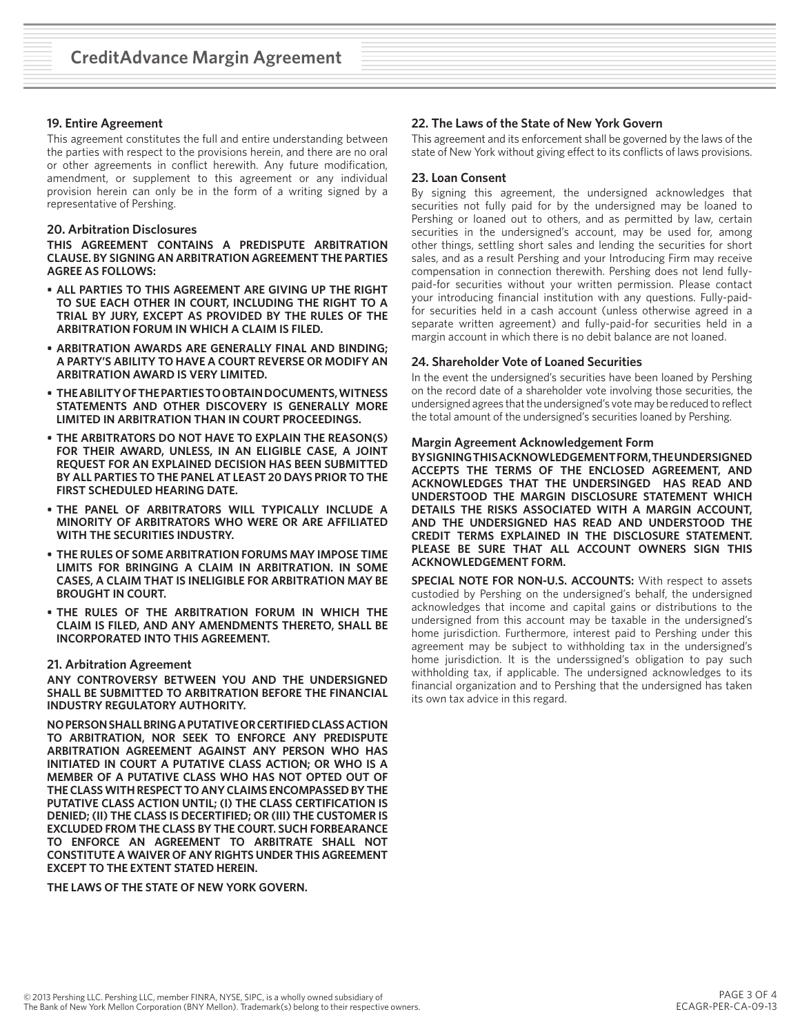#### **19. Entire Agreement**

This agreement constitutes the full and entire understanding between the parties with respect to the provisions herein, and there are no oral or other agreements in conflict herewith. Any future modification, amendment, or supplement to this agreement or any individual provision herein can only be in the form of a writing signed by a representative of Pershing.

#### **20. Arbitration Disclosures**

**THIS AGREEMENT CONTAINS A PREDISPUTE ARBITRATION CLAUSE. BY SIGNING AN ARBITRATION AGREEMENT THE PARTIES AGREE AS FOLLOWS:**

- **• ALL PARTIES TO THIS AGREEMENT ARE GIVING UP THE RIGHT TO SUE EACH OTHER IN COURT, INCLUDING THE RIGHT TO A TRIAL BY JURY, EXCEPT AS PROVIDED BY THE RULES OF THE ARBITRATION FORUM IN WHICH A CLAIM IS FILED.**
- **• ARBITRATION AWARDS ARE GENERALLY FINAL AND BINDING; A PARTY'S ABILITY TO HAVE A COURT REVERSE OR MODIFY AN ARBITRATION AWARD IS VERY LIMITED.**
- **• THE ABILITY OF THE PARTIES TO OBTAIN DOCUMENTS, WITNESS STATEMENTS AND OTHER DISCOVERY IS GENERALLY MORE LIMITED IN ARBITRATION THAN IN COURT PROCEEDINGS.**
- **• THE ARBITRATORS DO NOT HAVE TO EXPLAIN THE REASON(S) FOR THEIR AWARD, UNLESS, IN AN ELIGIBLE CASE, A JOINT REQUEST FOR AN EXPLAINED DECISION HAS BEEN SUBMITTED BY ALL PARTIES TO THE PANEL AT LEAST 20 DAYS PRIOR TO THE FIRST SCHEDULED HEARING DATE.**
- **• THE PANEL OF ARBITRATORS WILL TYPICALLY INCLUDE A MINORITY OF ARBITRATORS WHO WERE OR ARE AFFILIATED WITH THE SECURITIES INDUSTRY.**
- **• THE RULES OF SOME ARBITRATION FORUMS MAY IMPOSE TIME LIMITS FOR BRINGING A CLAIM IN ARBITRATION. IN SOME CASES, A CLAIM THAT IS INELIGIBLE FOR ARBITRATION MAY BE BROUGHT IN COURT.**
- **• THE RULES OF THE ARBITRATION FORUM IN WHICH THE CLAIM IS FILED, AND ANY AMENDMENTS THERETO, SHALL BE INCORPORATED INTO THIS AGREEMENT.**

#### **21. Arbitration Agreement**

**ANY CONTROVERSY BETWEEN YOU AND THE UNDERSIGNED SHALL BE SUBMITTED TO ARBITRATION BEFORE THE FINANCIAL INDUSTRY REGULATORY AUTHORITY.**

**NO PERSON SHALL BRING A PUTATIVE OR CERTIFIED CLASS ACTION TO ARBITRATION, NOR SEEK TO ENFORCE ANY PREDISPUTE ARBITRATION AGREEMENT AGAINST ANY PERSON WHO HAS INITIATED IN COURT A PUTATIVE CLASS ACTION; OR WHO IS A MEMBER OF A PUTATIVE CLASS WHO HAS NOT OPTED OUT OF THE CLASS WITH RESPECT TO ANY CLAIMS ENCOMPASSED BY THE PUTATIVE CLASS ACTION UNTIL; (I) THE CLASS CERTIFICATION IS DENIED; (II) THE CLASS IS DECERTIFIED; OR (III) THE CUSTOMER IS EXCLUDED FROM THE CLASS BY THE COURT. SUCH FORBEARANCE TO ENFORCE AN AGREEMENT TO ARBITRATE SHALL NOT CONSTITUTE A WAIVER OF ANY RIGHTS UNDER THIS AGREEMENT EXCEPT TO THE EXTENT STATED HEREIN.**

**THE LAWS OF THE STATE OF NEW YORK GOVERN.**

## **22. The Laws of the State of New York Govern**

This agreement and its enforcement shall be governed by the laws of the state of New York without giving effect to its conflicts of laws provisions.

#### **23. Loan Consent**

By signing this agreement, the undersigned acknowledges that securities not fully paid for by the undersigned may be loaned to Pershing or loaned out to others, and as permitted by law, certain securities in the undersigned's account, may be used for, among other things, settling short sales and lending the securities for short sales, and as a result Pershing and your Introducing Firm may receive compensation in connection therewith. Pershing does not lend fullypaid-for securities without your written permission. Please contact your introducing financial institution with any questions. Fully-paidfor securities held in a cash account (unless otherwise agreed in a separate written agreement) and fully-paid-for securities held in a margin account in which there is no debit balance are not loaned.

#### **24. Shareholder Vote of Loaned Securities**

In the event the undersigned's securities have been loaned by Pershing on the record date of a shareholder vote involving those securities, the undersigned agrees that the undersigned's vote may be reduced to reflect the total amount of the undersigned's securities loaned by Pershing.

#### **Margin Agreement Acknowledgement Form**

**BY SIGNING THIS ACKNOWLEDGEMENT FORM, THE UNDERSIGNED ACCEPTS THE TERMS OF THE ENCLOSED AGREEMENT, AND ACKNOWLEDGES THAT THE UNDERSINGED HAS READ AND UNDERSTOOD THE MARGIN DISCLOSURE STATEMENT WHICH DETAILS THE RISKS ASSOCIATED WITH A MARGIN ACCOUNT, AND THE UNDERSIGNED HAS READ AND UNDERSTOOD THE CREDIT TERMS EXPLAINED IN THE DISCLOSURE STATEMENT. PLEASE BE SURE THAT ALL ACCOUNT OWNERS SIGN THIS ACKNOWLEDGEMENT FORM.**

**SPECIAL NOTE FOR NON-U.S. ACCOUNTS:** With respect to assets custodied by Pershing on the undersigned's behalf, the undersigned acknowledges that income and capital gains or distributions to the undersigned from this account may be taxable in the undersigned's home jurisdiction. Furthermore, interest paid to Pershing under this agreement may be subject to withholding tax in the undersigned's home jurisdiction. It is the underssigned's obligation to pay such withholding tax, if applicable. The undersigned acknowledges to its financial organization and to Pershing that the undersigned has taken its own tax advice in this regard.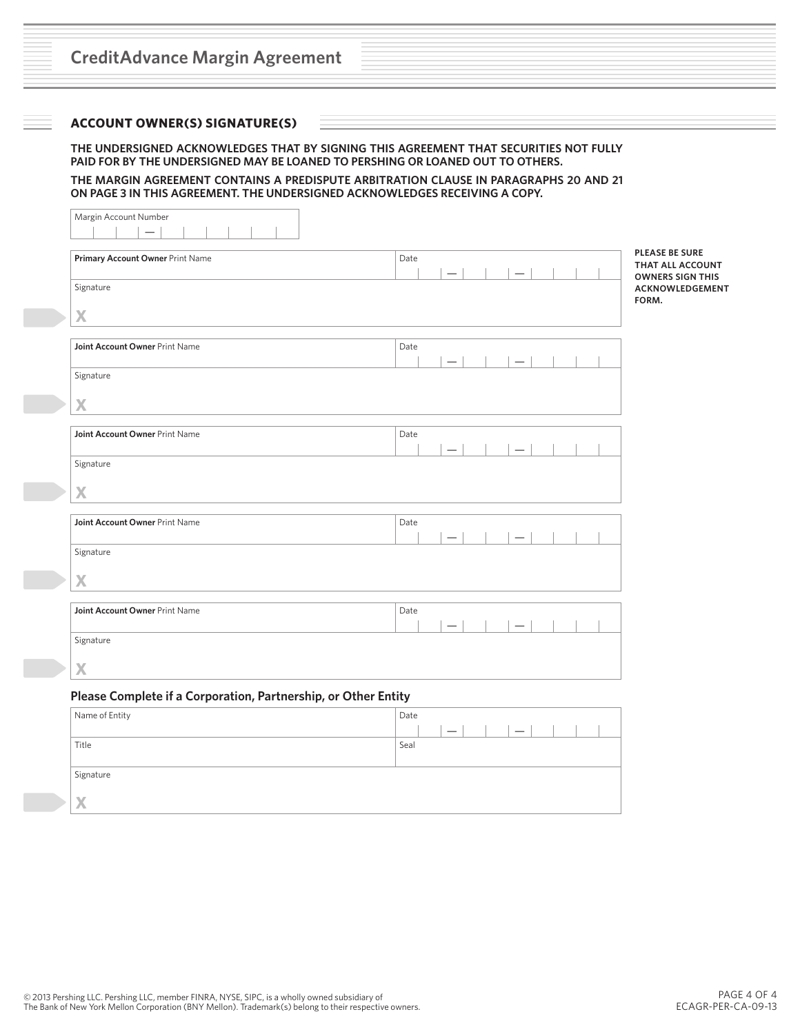## **ACCOUNT OWNER(S) SIGNATURE(S)**

#### **THE UNDERSIGNED ACKNOWLEDGES THAT BY SIGNING THIS AGREEMENT THAT SECURITIES NOT FULLY PAID FOR BY THE UNDERSIGNED MAY BE LOANED TO PERSHING OR LOANED OUT TO OTHERS.**

#### **THE MARGIN AGREEMENT CONTAINS A PREDISPUTE ARBITRATION CLAUSE IN PARAGRAPHS 20 AND 21 ON PAGE 3 IN THIS AGREEMENT. THE UNDERSIGNED ACKNOWLEDGES RECEIVING A COPY.**

| Margin Account Number                                          |                          |  |
|----------------------------------------------------------------|--------------------------|--|
|                                                                |                          |  |
|                                                                | <b>PLEASE BE SURE</b>    |  |
| Primary Account Owner Print Name                               | Date<br>THAT ALL ACCOUNT |  |
|                                                                | <b>OWNERS SIGN THIS</b>  |  |
| Signature                                                      | ACKNOWLEDGEMENT          |  |
|                                                                | FORM.                    |  |
| X                                                              |                          |  |
|                                                                |                          |  |
| Joint Account Owner Print Name                                 | Date                     |  |
|                                                                |                          |  |
| Signature                                                      |                          |  |
|                                                                |                          |  |
| X                                                              |                          |  |
|                                                                |                          |  |
| Joint Account Owner Print Name                                 | Date                     |  |
|                                                                |                          |  |
| Signature                                                      |                          |  |
|                                                                |                          |  |
| X                                                              |                          |  |
|                                                                |                          |  |
| Joint Account Owner Print Name                                 | Date                     |  |
|                                                                |                          |  |
| Signature                                                      |                          |  |
|                                                                |                          |  |
| X                                                              |                          |  |
|                                                                |                          |  |
| Joint Account Owner Print Name                                 | Date                     |  |
|                                                                |                          |  |
| Signature                                                      |                          |  |
|                                                                |                          |  |
| X                                                              |                          |  |
|                                                                |                          |  |
| Please Complete if a Corporation, Partnership, or Other Entity |                          |  |
|                                                                | Date                     |  |
| Name of Entity                                                 |                          |  |

| Title                     | Seal |  |  |  |  |  |
|---------------------------|------|--|--|--|--|--|
|                           |      |  |  |  |  |  |
| Signature                 |      |  |  |  |  |  |
|                           |      |  |  |  |  |  |
| $\boldsymbol{\mathsf{X}}$ |      |  |  |  |  |  |
|                           |      |  |  |  |  |  |